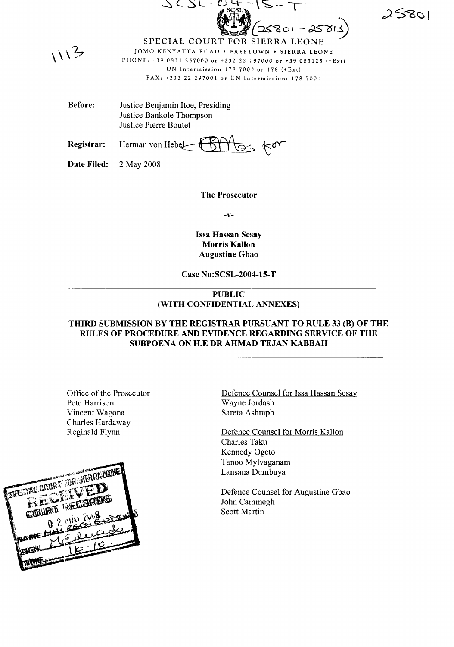25801

 $113$ 

SPECIAL COURT FOR SIERRA LEONE JOMO KENYATTA ROAD . FREETOWN . SIERRA LEONE PHONE: +39 0831 257000 or +232 22 297000 or +39 083125  $(FExt)$ UN Intermission  $178,7000$  or  $178$  (+Ext) FAX: +232 22 297001 or UN Intermission: 178 7001

 $\mathcal{S}$ ,  $\Lambda$  $=$   $\frac{1}{2}$   $(258c - 25813)$ 

Before: Justice Benjamin Hoe, Presiding Justice Bankole Thompson Justice Pierre Boutet

Registrar: Herman von Hebel

 $7.77$ 

Date Filed: 2 May 2008

The Prosecutor

-v-

Issa Hassan Sesay Morris Kallon Augustine Gbao

Case No:SCSL-2004-15-T

## PUBLIC (WITH CONFIDENTIAL ANNEXES)

## THIRD SUBMISSION BY THE REGISTRAR PURSUANT TO RULE 33 (B) OF THE RULES OF PROCEDURE AND EVIDENCE REGARDING SERVICE OF THE SUBPOENA ON H.E DR AHMAD TEJAN KABBAH

Office of the Prosecutor Pete Harrison Vincent Wagona Charles Hardaway Reginald Flynn



Defence Counsel for Issa Hassan Sesay Wayne Jordash Sareta Ashraph

Defence Counsel for Morris Kallon Charles Taku Kennedy Ogeto Tanoo Mylvaganam Lansana Dumbuya

Defence Counsel for Augustine Gbao John Cammegh Scott Martin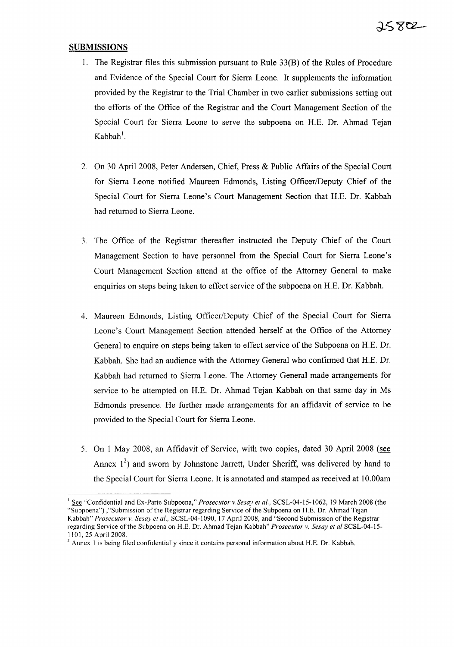## **SUBMISSIONS**

- 1. The Registrar files this submission pursuant to Rule 33(B) of the Rules of Procedure and Evidence of the Special Court for Sierra Leone. It supplements the information provided by the Registrar to the Trial Chamber in two earlier submissions setting out the efforts of the Office of the Registrar and the Court Management Section of the Special Court for Sierra Leone to serve the subpoena on H.E. Dr. Ahmad Tejan  $\mathsf{Kabbah}^!$  .
- 2. On 30 April 2008, Peter Andersen, Chief, Press & Public Affairs of the Special Court for Sierra Leone notified Maureen Edmonds, Listing Officer/Deputy Chief of the Special Court for Sierra Leone's Court Management Section that H.E. Dr. Kabbah had returned to Sierra Leone.
- 3. The Office of the Registrar thereafter instructed the Deputy Chief of the Court Management Section to have personnel from the Special Court for Sierra Leone's Court Management Section attend at the office of the Attorney General to make enquiries on steps being taken to effect service of the subpoena on H.E. Dr. Kabbah.
- 4. Maureen Edmonds, Listing Officer/Deputy Chief of the Special Court for Sierra Leone's Court Management Section attended herself at the Office of the Attorney General to enquire on steps being taken to effect service of the Subpoena on H.E. Dr. Kabbah. She had an audience with the Attorney General who confirmed that H.E. Dr. Kabbah had returned to Sierra Leone. The Attorney General made arrangements for service to be attempted on H.E. Dr. Ahmad Tejan Kabbah on that same day in Ms Edmonds presence. He further made arrangements for an affidavit of service to be provided to the Special Court for Sierra Leone.
- 5. On 1 May 2008, an Affidavit of Service, with two copies, dated 30 April 2008 (see Annex  $1^2$ ) and sworn by Johnstone Jarrett, Under Sheriff, was delivered by hand to the Special Court for Sierra Leone. It is annotated and stamped as received at 10.00am

<sup>&</sup>lt;sup>1</sup> See "Confidential and Ex-Parte Subpoena," *Prosecutor v.Sesay et al.*, SCSL-04-15-1062, 19 March 2008 (the "Subpoena") ,"Submission ofthe Registrar regarding Service of the Subpoena on H.E. Dr. Ahmad Tejan Kabbah" *Prosecutor v. Sesay et aI.,* SCSL-04-1090, 17 April 2008, and "Second Submission ofthe Registrar regarding Service ofthe Subpoena on H.E. Dr. Ahmad Tejan Kabbah" *Prosecutor v. Sesay et at* SCSL-04-15- 1101,25 April 2008.

 $<sup>2</sup>$  Annex 1 is being filed confidentially since it contains personal information about H.E. Dr. Kabbah.</sup>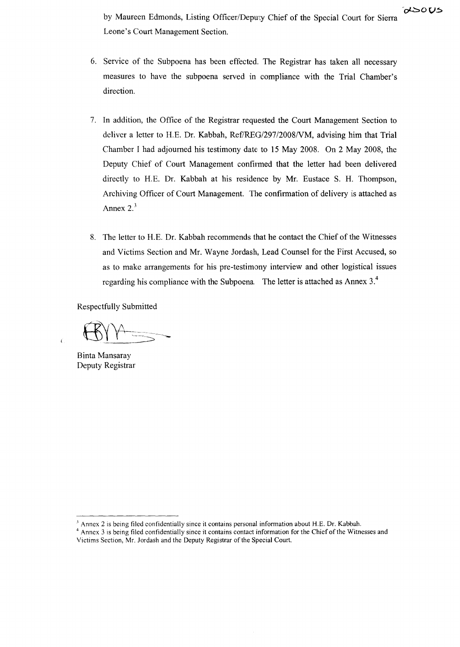by Maureen Edmonds, Listing Officer/Depw:y Chief of the Special Court for Sierra Leone's Court Management Section.

- 6. Service of the Subpoena has been effected. The Registrar has taken all necessary measures to have the subpoena served in compliance with the Trial Chamber's direction.
- 7. In addition, the Office of the Registrar requested the Court Management Section to deliver a letter to H.E. Dr. Kabbah, Ref/REG/297/2008/VM, advising him that Trial Chamber I had adjourned his testimony date to 15 May 2008. On 2 May 2008, the Deputy Chief of Court Management confirmed that the letter had been delivered directly to H.E. Dr. Kabbah at his residence by Mr. Eustace S. H. Thompson, Archiving Officer of Court Management. The confirmation of delivery is attached as Annex  $2.\overline{3}$
- 8. The letter to H.E. Dr. Kabbah recommends that he contact the Chief of the Witnesses and Victims Section and Mr. Wayne Jordash, Lead Counsel for the First Accused, so as to make arrangements for his pre-testimony interview and other logistical issues regarding his compliance with the Subpoena. The letter is attached as Annex 3.<sup>4</sup>

Respectfully Submitted

Binta Mansaray Deputy Registrar

 $\epsilon$ 

- $\Lambda$  Annex 2 is being filed confidentially since it contains personal information about H.E. Dr. Kabbah.
- <sup>4</sup> Annex 3 is being filed confidentially since it contains contact information for the Chief of the Witnesses and Victims Section, Mr. Jordash and the Deputy Registrar of the Special Court.